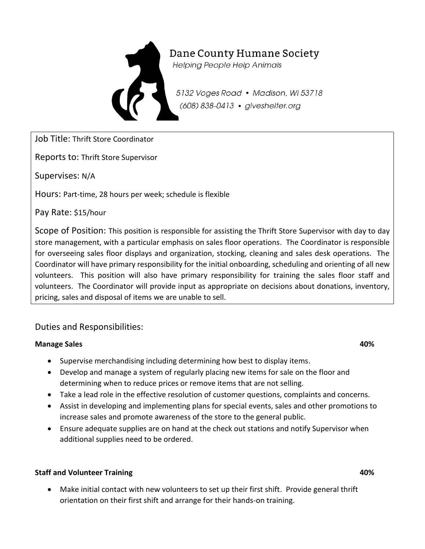

# Dane County Humane Society

**Helping People Help Animals** 

5132 Voges Road • Madison, WI 53718 (608) 838-0413 · giveshelter.org

Job Title: Thrift Store Coordinator

Reports to: Thrift Store Supervisor

Supervises: N/A

Hours: Part-time, 28 hours per week; schedule is flexible

Pay Rate: \$15/hour

Scope of Position: This position is responsible for assisting the Thrift Store Supervisor with day to day store management, with a particular emphasis on sales floor operations. The Coordinator is responsible for overseeing sales floor displays and organization, stocking, cleaning and sales desk operations. The Coordinator will have primary responsibility for the initial onboarding, scheduling and orienting of all new volunteers. This position will also have primary responsibility for training the sales floor staff and volunteers. The Coordinator will provide input as appropriate on decisions about donations, inventory, pricing, sales and disposal of items we are unable to sell.

## Duties and Responsibilities:

### **Manage Sales 40%**

- Supervise merchandising including determining how best to display items.
- Develop and manage a system of regularly placing new items for sale on the floor and determining when to reduce prices or remove items that are not selling.
- Take a lead role in the effective resolution of customer questions, complaints and concerns.
- Assist in developing and implementing plans for special events, sales and other promotions to increase sales and promote awareness of the store to the general public.
- Ensure adequate supplies are on hand at the check out stations and notify Supervisor when additional supplies need to be ordered.

### **Staff and Volunteer Training 40%**

 Make initial contact with new volunteers to set up their first shift. Provide general thrift orientation on their first shift and arrange for their hands-on training.